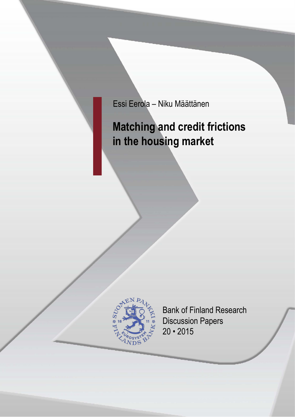Essi Eerola – Niku Määttänen

# **Matching and credit frictions in the housing market**



Bank of Finland Research Discussion Papers 20 • 2015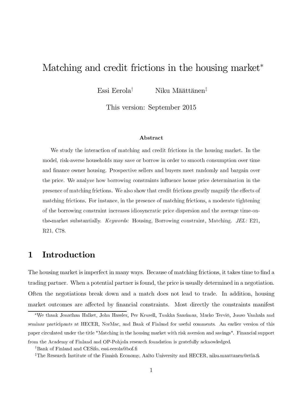# Matching and credit frictions in the housing market<sup>∗</sup>

Essi Eerola $^\dagger$  Miku Määttänen $^\ddagger$ 

This version: September 2015

#### Abstract

-----<sub>-</sub>---- $\circ$   $\overline{\phantom{0}}$ 0<sup>-11-11-11</sup> -, ----- ---<br>--  - $\frac{1}{2}$ and manoe early nearing. The peer to center and edgers more randomly and early an ever and price. The analysis new serious constraints imached house price accommitation in the presence of maching metricine, we also show that create metricially greatly inaginity the encell of matering metronet 1 or metanecy in the presence or matering metrons, a metance tightening of the seriously constant mercesco rates, herein price alspersion and the average time on the-market substantially. *Keywords:* Housing, Borrowing constraint, Matching. *JEL*: E21, R21, C78.

# 1 Introduction

The housing market is imperfect in many ways. Because of matching frictions, it takes time to find a trading partner. When a potential partner is found, the price is usually determined in a negotiation. Often the negotiations break down and a match does not lead to trade. In addition, housing market outcomes are affected by financial constraints. Most directly the constraints manifest

<sup>\*</sup>We thank Jonathan Halket, John Hassler, Per Krusell, Tuukka Saarimaa, Marko Terviö, Juuso Vanhala and  ${\rm seminar\,\,}$   ${\rm particle}$  at  ${\rm HECER}, {\rm\,}$   ${\rm NorMac}, {\rm\,}$  and  ${\rm Bank\,\,}$  of  ${\rm Finland\,\,}$  for useful comments.  ${\rm\,}$  An earlier version of this paper circulated under the title "Matching in the housing market with risk aversion and savings". Financial support from the Academy of Finland and OP-Pohjola research foundation is gratefully acknowledged.

<sup>&</sup>lt;sup>†</sup>Bank of Finland and CESifo, essi.eerola@bof.fi

 ${}^{\ddagger}$ The Research Institute of the Finnish Economy, Aalto University and HECER, niku.maattanen@etla.fi.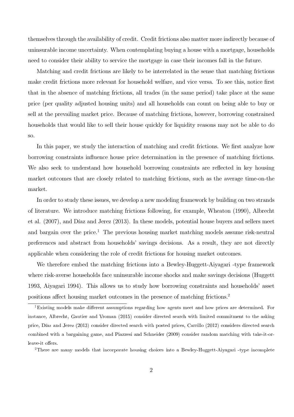themselves through the availability of credit. Credit frictions also matter more indirectly because of uninsurable income uncertainty. When contemplating buying a house with a mortgage, households need to consider their ability to service the mortgage in case their incomes fall in the future.

Matching and credit frictions are likely to be interrelated in the sense that matching frictions make credit frictions more relevant for household welfare, and vice versa. To see this, notice first that in the absence of matching frictions, all trades (in the same period) take place at the same price (per quality adjusted housing units) and all households can count on being able to buy or sell at the prevailing market price. Because of matching frictions, however, borrowing constrained households that would like to sell their house quickly for liquidity reasons may not be able to do so.

In this paper, we study the interaction of matching and credit frictions. We first analyze how borrowing constraints influence house price determination in the presence of matching frictions. We also seek to understand how household borrowing constraints are reflected in key housing market outcomes that are closely related to matching frictions, such as the average time-on-the market.

In order to study these issues, we develop a new modeling framework by building on two strands of literature. We introduce matching frictions following, for example, Wheaton (1990), Albrecht et al. (2007), and Díaz and Jerez (2013). In these models, potential house buyers and sellers meet and bargain over the price.<sup>1</sup> The previous housing market matching models assume risk-neutral preferences and abstract from households' savings decisions. As a result, they are not directly applicable when considering the role of credit frictions for housing market outcomes.

We therefore embed the matching frictions into a Bewley-Huggett-Aiyagari -type framework where risk-averse households face uninsurable income shocks and make savings decisions (Huggett 1993, Aiyagari 1994). This allows us to study how borrowing constraints and households' asset positions affect housing market outcomes in the presence of matching frictions.<sup>2</sup>

<sup>2</sup>There are many models that incorporate housing choices into a Bewley-Huggett-Aiyagari -type incomplete

<sup>&</sup>lt;sup>1</sup>Existing models make different assumptions regarding how agents meet and how prices are determined. For instance, Albrecht, Gautier and Vroman  $(2015)$  consider directed search with limited commitment to the asking price, Díaz and Jerez (2013) consider directed search with posted prices, Carrillo (2012) considers directed search combined with a bargaining game, and Piazzesi and Schneider (2009) consider random matching with take-it-orleave-it offers.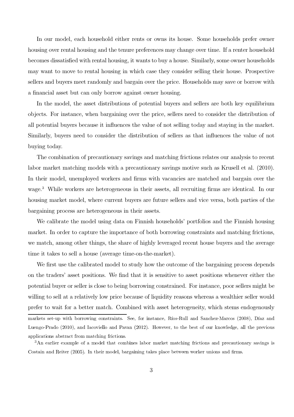In our model, each household either rents or owns its house. Some households prefer owner housing over rental housing and the tenure preferences may change over time. If a renter household becomes dissatisfied with rental housing, it wants to buy a house. Similarly, some owner households may want to move to rental housing in which case they consider selling their house. Prospective sellers and buyers meet randomly and bargain over the price. Households may save or borrow with a financial asset but can only borrow against owner housing.

In the model, the asset distributions of potential buyers and sellers are both key equilibrium objects. For instance, when bargaining over the price, sellers need to consider the distribution of all potential buyers because it influences the value of not selling today and staying in the market. Similarly, buyers need to consider the distribution of sellers as that influences the value of not buying today.

The combination of precautionary savings and matching frictions relates our analysis to recent labor market matching models with a precautionary savings motive such as Krusell et al. (2010). In their model, unemployed workers and firms with vacancies are matched and bargain over the wage.<sup>3</sup> While workers are heterogeneous in their assets, all recruiting firms are identical. In our housing market model, where current buyers are future sellers and vice versa, both parties of the bargaining process are heterogeneous in their assets.

We calibrate the model using data on Finnish households' portfolios and the Finnish housing market. In order to capture the importance of both borrowing constraints and matching frictions, we match, among other things, the share of highly leveraged recent house buyers and the average time it takes to sell a house (average time-on-the-market).

We first use the calibrated model to study how the outcome of the bargaining process depends on the traders' asset positions. We find that it is sensitive to asset positions whenever either the potential buyer or seller is close to being borrowing constrained. For instance, poor sellers might be willing to sell at a relatively low price because of liquidity reasons whereas a wealthier seller would prefer to wait for a better match. Combined with asset heterogeneity, which stems endogenously markets set-up with borrowing constraints. See, for instance, Ríos-Rull and Sanchez-Marcos (2008), Díaz and Luengo-Prado (2010), and Iacoviello and Pavan (2012). However, to the best of our knowledge, all the previous applications abstract from matching frictions.

 ${}^{3}$ An earlier example of a model that combines labor market matching frictions and precautionary savings is Costain and Reiter (2005). In their model, bargaining takes place between worker unions and firms.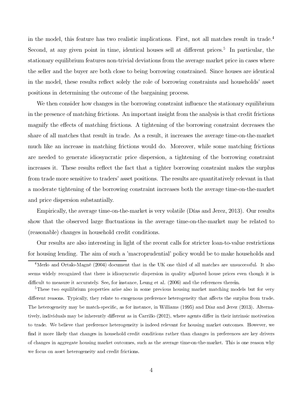in the model, this feature has two realistic implications. First, not all matches result in trade. Second, at any given point in time, identical houses sell at different prices.<sup>5</sup> In particular, the stationary equilibrium features non-trivial deviations from the average market price in cases where the seller and the buyer are both close to being borrowing constrained. Since houses are identical in the model, these results reflect solely the role of borrowing constraints and households' asset positions in determining the outcome of the bargaining process.

We then consider how changes in the borrowing constraint influence the stationary equilibrium in the presence of matching frictions. An important insight from the analysis is that credit frictions magnify the effects of matching frictions. A tightening of the borrowing constraint decreases the share of all matches that result in trade. As a result, it increases the average time-on-the-market much like an increase in matching frictions would do. Moreover, while some matching frictions are needed to generate idiosyncratic price dispersion, a tightening of the borrowing constraint increases it. These results reflect the fact that a tighter borrowing constraint makes the surplus from trade more sensitive to traders' asset positions. The results are quantitatively relevant in that a moderate tightening of the borrowing constraint increases both the average time-on-the-market and price dispersion substantially.

Empirically, the average time-on-the-market is very volatile (Días and Jerez, 2013). Our results show that the observed large fluctuations in the average time-on-the-market may be related to (reasonable) changes in household credit conditions.

Our results are also interesting in light of the recent calls for stricter loan-to-value restrictions for housing lending. The aim of such a 'macroprudential' policy would be to make households and

 $\overline{4}$ Merlo and Ortalo-Magne (2004) document that in the UK one third of all matches are unsuccessful. It also seems widely recognized that there is idiosyncratic dispersion in quality adjusted house prices even though it is<br> ly. See, for instance, Leung et al.  $(2006)$  and the references therein.

These two equilibrium properties arise also in some previous housing market matching models but for very different reasons. Typically, they relate to exogenous preference heterogeneity that affects the surplus from trade. The heterogeneity may be match-specific, as for instance, in Williams (1995) and Díaz and Jerez (2013). Alternatively, individuals may be inherently different as in Carrillo (2012), where agents differ in their intrinsic motivation to trade. We believe that preference heterogeneity is indeed relevant for housing market outcomes. However, we find it more likely that changes in household credit conditions rather than changes in preferences are key drivers of changes in aggregate housing market outcomes, such as the average time-on-the-market. This is one reason why we focus on asset heterogeneity and credit frictions.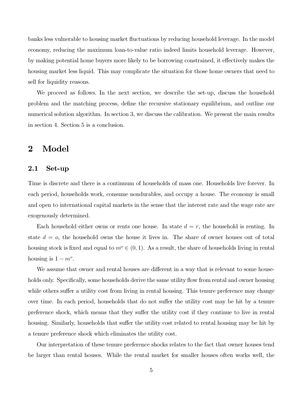banks less vulnerable to housing market fluctuations by reducing household leverage. In the model economy, reducing the maximum loan-to-value ratio indeed limits household leverage. However, by making potential home buyers more likely to be borrowing constrained, it effectively makes the housing market less liquid. This may complicate the situation for those home owners that need to sell for liquidity reasons.

We proceed as follows. In the next section, we describe the set-up, discuss the household problem and the matching process, define the recursive stationary equilibrium, and outline our numerical solution algorithm. In section 3, we discuss the calibration. We present the main results in section 4. Section 5 is a conclusion.

### 2 Model

#### 2.1 Set-up

Time is discrete and there is a continuum of households of mass one. Households live forever. In each period, households work, consume nondurables, and occupy a house. The economy is small and open to international capital markets in the sense that the interest rate and the wage rate are exogenously determined.

Each household either owns or rents one house. In state  $d = r$ , the household is renting. In state  $d = 0$ , the household owns the house it lives in. The share of owner houses out of total housing stock is fixed and equal to  $m^{\circ} \in (0, 1)$ . As a result, the share of households living in rental housing is  $1 - m^o$ .

We assume that owner and rental houses are different in a way that is relevant to some households only. Specifically, some households derive the same utility flow from rental and owner housing while others suffer a utility cost from living in rental housing. This tenure preference may change over time. In each period, households that do not suffer the utility cost may be hit by a tenure preference shock, which means that they suffer the utility cost if they continue to live in rental housing. Similarly, households that suffer the utility cost related to rental housing may be hit by a tenure preference shock which eliminates the utility cost.

Our interpretation of these tenure preference shocks relates to the fact that owner houses tend be larger than rental houses. While the rental market for smaller houses often works well, the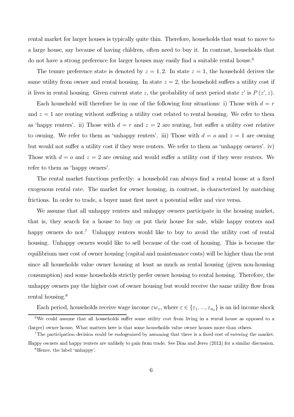rental market for larger houses is typically quite thin. Therefore, households that want to move to a large house, say because of having children, often need to buy it. In contrast, households that do not have a strong preference for larger houses may easily find a suitable rental house.

The tenure preference state is denoted by  $z = 1, 2$ . In state  $z = 1$ , the household derives the same utility from owner and rental housing. In state  $z = 2$ , the household suffers a utility cost if it lives in rental housing. Given current state z, the probability of next period state  $z'$  is  $P(z', z)$ .

Each household will therefore be in one of the following four situations: i) Those with  $d = r$ and  $z = 1$  are renting without suffering a utility cost related to rental housing. We refer to them as 'happy renters'. ii) Those with  $d = r$  and  $z = 2$  are renting, but suffer a utility cost relative to owning. We refer to them as 'unhappy renters'. iii) Those with  $d = o$  and  $z = 1$  are owning but would not suffer a utility cost if they were renters. We refer to them as 'unhappy owners'. iv) Those with  $d = 0$  and  $z = 2$  are owning and would suffer a utility cost if they were renters. We refer to them as 'happy owners'.

The rental market functions perfectly: a household can always find a rental house at a fixed exogenous rental rate. The market for owner housing, in contrast, is characterized by matching frictions. In order to trade, a buyer must first meet a potential seller and vice versa.

We assume that all unhappy renters and unhappy owners participate in the housing market, that is, they search for a house to buy or put their house for sale, while happy renters and happy owners do not.<sup>7</sup> Unhappy renters would like to buy to avoid the utility cost of rental housing. Unhappy owners would like to sell because of the cost of housing. This is because the equilibrium user cost of owner housing (capital and maintenance costs) will be higher than the rent since all households value owner housing at least as much as rental housing (given non-housing consumption) and some households strictly prefer owner housing to rental housing. Therefore, the unhappy owners pay the higher cost of owner housing but would receive the same utility flow from rental housing.

Each period, households receive wage income  $\varepsilon w_z$ , where  $\varepsilon \in {\varepsilon_1, ..., \varepsilon_{n_\varepsilon}}$  is an iid income shock

<sup>6</sup> We could assume that all households suffer some utility cost from living in a rental house as opposed to a (larger) owner house. What matters here is that some households value owner houses more than others.

 $\mathcal{L}(\mathcal{I})$  shows in a substantial be and consider the security of the second cost of entering  $t$  is a substantial become could be and consider a substantial because that there is a fixed cost of entering  $t$  is The participation decision could be endogenized by assuming that there is a fixed cost of entering the market. Happy owners and nappy renters are unlikely to gain from trade. See Diaz and Jerez (2013) for a similar discussion.<br>811 - المسلمات appy on note and nappy rence

 $\ldots$  ...  $\ldots$  ...  $\ldots$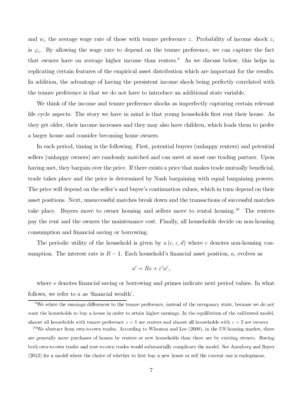and  $w_z$  the average wage rate of those with tenure preference z. Probability of income shock  $\varepsilon_i$ is  $\varphi_i$ . By allowing the wage rate to depend on the tenure preference, we can capture the fact that owners have on average higher income than renters. $<sup>9</sup>$  As we discuss below, this helps in</sup> replicating certain features of the empirical asset distribution which are important for the results. In addition, the advantage of having the persistent income shock being perfectly correlated with the tenure preference is that we do not have to introduce an additional state variable.

We think of the income and tenure preference shocks as imperfectly capturing certain relevant life cycle aspects. The story we have in mind is that young households first rent their house. As they get older, their income increases and they may also have children, which leads them to prefer a larger house and consider becoming home owners.

In each period, timing is the following. First, potential buyers (unhappy renters) and potential sellers (unhappy owners) are randomly matched and can meet at most one trading partner. Upon having met, they bargain over the price. If there exists a price that makes trade mutually beneficial, trade takes place and the price is determined by Nash bargaining with equal bargaining powers. The price will depend on the seller's and buyer's continuation values, which in turn depend on their asset positions. Next, unsuccessful matches break down and the transactions of successful matches take place. Buyers move to owner housing and sellers move to rental housing.<sup>10</sup> The renters pay the rent and the owners the maintenance cost. Finally, all households decide on non-housing consumption and financial saving or borrowing.

The periodic utility of the household is given by  $u(c, z, d)$  where c denotes non-housing consumption. The interest rate is  $R-1$ . Each household's financial asset position, a, evolves as

$$
a' = Rs + \varepsilon' w',
$$

where s denotes financial saving or borrowing and primes indicate next period values. In what follows, we refer to a as 'financial wealth'.

 $^9\rm{We}$  relate the earnings differences to the tenure preference, instead of the occupancy state, because we do not want the households to buy a house in order to attain higher earnings. In the equilibrium of the calibrated model, almost all households with tenure preference  $z = 1$  are renters and almost all households with  $z = 2$  are owners.

 $^{10}$ We abstract from own-to-own trades. According to Wheaton and Lee (2009), in the US housing market, there are generally more purchases of homes by renters or new households than there are by existing owners. Having both own-to-own trades and rent-to-own trades would substantially complicate the model. See Anenberg and Bayer  $(2013)$  for a model where the choice of whether to first buy a new house or sell the current one is endogenous.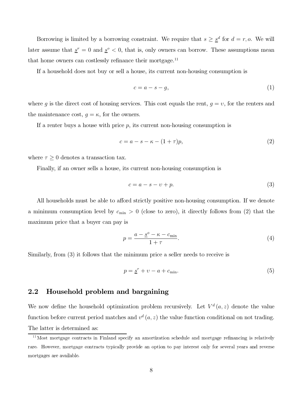Borrowing is limited by a borrowing constraint. We require that  $s \geq s^d$  for  $d = r, o$ . We will later assume that  $s^r = 0$  and  $s^o < 0$ , that is, only owners can borrow. These assumptions mean that home owners can costlessly refinance their mortgage.

If a household does not buy or sell a house, its current non-housing consumption is

$$
c = a - s - g,\tag{1}
$$

where g is the direct cost of housing services. This cost equals the rent,  $g = v$ , for the renters and the maintenance cost,  $g = \kappa$ , for the owners.

If a renter buys a house with price  $p$ , its current non-housing consumption is

$$
c = a - s - \kappa - (1 + \tau)p,\tag{2}
$$

where  $\tau \geq 0$  denotes a transaction tax.

Finally, if an owner sells a house, its current non-housing consumption is

$$
c = a - s - v + p.\tag{3}
$$

All households must be able to afford strictly positive non-housing consumption. If we denote a minimum consumption level by  $c_{\min} > 0$  (close to zero), it directly follows from (2) that the maximum price that a buyer can pay is

$$
p = \frac{a - \underline{s}^o - \kappa - c_{\min}}{1 + \tau}.\tag{4}
$$

Similarly, from (3) it follows that the minimum price a seller needs to receive is

$$
p = \underline{s}^r + \upsilon - a + c_{\min}.\tag{5}
$$

#### 2.2 Household problem and bargaining

We now define the household optimization problem recursively. Let  $V^d(a, z)$  denote the value function before current period matches and  $v^d$   $(a, z)$  the value function conditional on not trading. The latter is determined as:

 $^{11}$ Most mortgage contracts in Finland specify an amortization schedule and mortgage refinancing is relatively rare. However, mortgage contracts typically provide an option to pay interest only for several years and reverse<br> mortgages are available \$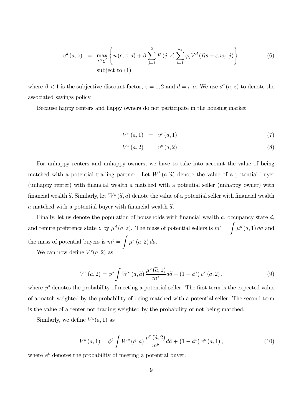$$
v^{d}(a, z) = \max_{s \geq \underline{s}^{d}} \left\{ u(c, z, d) + \beta \sum_{j=1}^{2} P(j, z) \sum_{i=1}^{n_{\varepsilon}} \varphi_{i} V^{d}(Rs + \varepsilon_{i} w_{j}, j) \right\}
$$
(6)  
subject to (1)

where  $\beta < 1$  is the subjective discount factor,  $z = 1, 2$  and  $d = r, o$ . We use  $s^d (a, z)$  to denote the associated savings policy.

Because happy renters and happy owners do not participate in the housing market

$$
V^{r}(a,1) = v^{r}(a,1)
$$
\n(7)

$$
V^{o}(a,2) = v^{o}(a,2).
$$
 (8)

For unhappy renters and unhappy owners, we have to take into account the value of being matched with a potential trading partner. Let  $W^b(a, \tilde{a})$  denote the value of a potential buyer (unhappy renter) with financial wealth a matched with a potential seller (unhappy owner) with financial wealth  $\tilde{a}$ . Similarly, let  $W^s(\tilde{a}, a)$  denote the value of a potential seller with financial wealth a matched with a potential buyer with financial wealth  $\tilde{a}$ .

Finally, let us denote the population of households with financial wealth a, occupancy state d, and tenure preference state z by  $\mu^d(a, z)$ . The mass of potential sellers is  $m^s = \mu^s$  $\mu^o(a, 1)$  da and the mass of potential buyers is  $m^b = \sqrt{m^b - m^b}$  $\mu^r(a, 2)$  da.

We can now define  $V^r(a, 2)$  as

$$
V^{r}\left(a,2\right) = \phi^{s} \int W^{b}\left(a,\widetilde{a}\right) \frac{\mu^{o}\left(\widetilde{a},1\right)}{m^{s}} d\widetilde{a} + \left(1 - \phi^{s}\right) v^{r}\left(a,2\right),\tag{9}
$$

where  $\phi^s$  denotes the probability of meeting a potential seller. The first term is the expected value of a match weighted by the probability of being matched with a potential seller. The second term is the value of a renter not trading weighted by the probability of not being matched.

Similarly, we define  $V^o(a, 1)$  as

$$
V^{o}\left(a,1\right)=\phi^{b}\int W^{s}\left(\widetilde{a},a\right)\frac{\mu^{r}\left(\widetilde{a},2\right)}{m^{b}}d\widetilde{a}+\left(1-\phi^{b}\right)v^{o}\left(a,1\right),\qquad(10)
$$

where  $\phi^b$  denotes the probability of meeting a potential buyer.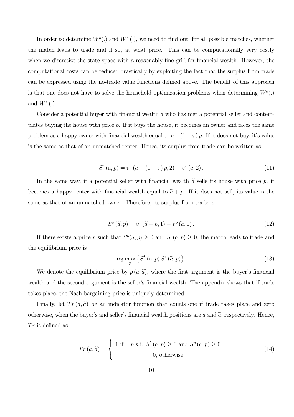In order to determine  $W^b(.)$  and  $W^s(.)$ , we need to find out, for all possible matches, whether the match leads to trade and if so, at what price. This can be computationally very costly when we discretize the state space with a reasonably fine grid for financial wealth. However, the computational costs can be reduced drastically by exploiting the fact that the surplus from trade can be expressed using the no-trade value functions defined above. The benefit of this approach is that one does not have to solve the household optimization problems when determining  $W^b(.)$ and  $W^s(.)$ .

Consider a potential buyer with financial wealth a who has met a potential seller and contemplates buying the house with price p. If it buys the house, it becomes an owner and faces the same problem as a happy owner with financial wealth equal to  $a-(1+\tau)p$ . If it does not buy, it's value is the same as that of an unmatched renter. Hence, its surplus from trade can be written as

$$
S^{b}(a, p) = v^{o}(a - (1 + \tau)p, 2) - v^{r}(a, 2).
$$
\n(11)

In the same way, if a potential seller with financial wealth  $\tilde{a}$  sells its house with price p, it becomes a happy renter with financial wealth equal to  $\tilde{a} + p$ . If it does not sell, its value is the same as that of an unmatched owner. Therefore, its surplus from trade is

$$
S^{s}(\tilde{a},p) = v^{r}(\tilde{a}+p,1) - v^{o}(\tilde{a},1).
$$
 (12)

If there exists a price p such that  $S^b(a,p) \geq 0$  and  $S^s(\tilde{a},p) \geq 0$ , the match leads to trade and the equilibrium price is

$$
\arg\max_{p} \left\{ S^b \left( a, p \right) S^s \left( \tilde{a}, p \right) \right\}. \tag{13}
$$

We denote the equilibrium price by  $p(a,\tilde{a})$ , where the first argument is the buyer's financial wealth and the second argument is the seller's financial wealth. The appendix shows that if trade takes place, the Nash bargaining price is uniquely determined.

Finally, let  $Tr(a, \tilde{a})$  be an indicator function that equals one if trade takes place and zero otherwise, when the buyer's and seller's financial wealth positions are a and  $\tilde{a}$ , respectively. Hence,  $Tr$  is defined as

$$
Tr (a, \tilde{a}) = \begin{cases} 1 \text{ if } \exists p \text{ s.t. } S^b (a, p) \ge 0 \text{ and } S^s (\tilde{a}, p) \ge 0 \\ 0, \text{ otherwise} \end{cases}
$$
(14)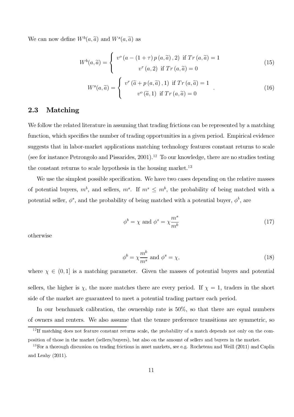We can now define  $W^b(a, \tilde{a})$  and  $W^s(a, \tilde{a})$  as

$$
W^{b}(a,\widetilde{a}) = \begin{cases} v^{o}(a - (1+\tau) p(a,\widetilde{a}),2) & \text{if } Tr(a,\widetilde{a}) = 1 \\ v^{r}(a,2) & \text{if } Tr(a,\widetilde{a}) = 0 \end{cases}
$$
(15)

$$
W^{s}(a,\widetilde{a}) = \begin{cases} v^{r} (\widetilde{a} + p(a,\widetilde{a}),1) & \text{if } Tr(a,\widetilde{a}) = 1 \\ v^{o} (\widetilde{a},1) & \text{if } Tr(a,\widetilde{a}) = 0 \end{cases}
$$
 (16)

#### 2.3 Matching

We follow the related literature in assuming that trading frictions can be represented by a matching function, which specifies the number of trading opportunities in a given period. Empirical evidence suggests that in labor-market applications matching technology features constant returns to scale (see for instance Petrongolo and Pissarides,  $2001$ ).<sup>12</sup> To our knowledge, there are no studies testing the constant returns to scale hypothesis in the housing market.

We use the simplest possible specification. We have two cases depending on the relative masses of potential buyers,  $m^b$ , and sellers,  $m^s$ . If  $m^s \leq m^b$ , the probability of being matched with a potential seller,  $\phi^s$ , and the probability of being matched with a potential buyer,  $\phi^b$ , are

$$
\phi^b = \chi \text{ and } \phi^s = \chi \frac{m^s}{m^b} \tag{17}
$$

otherwise

$$
\phi^b = \chi \frac{m^b}{m^s} \text{ and } \phi^s = \chi,\tag{18}
$$

where  $\chi \in (0,1]$  is a matching parameter. Given the masses of potential buyers and potential sellers, the higher is  $\chi$ , the more matches there are every period. If  $\chi = 1$ , traders in the short side of the market are guaranteed to meet a potential trading partner each period.

In our benchmark calibration, the ownership rate is 50%, so that there are equal numbers of owners and renters. We also assume that the tenure preference transitions are symmetric, so

 $^{12}$  If matching does not feature constant returns scale, the probability of a match depends not only on the composition of those in the market (sellers/buyers), but also on the amount of sellers and buyers in the market.

 $^{13}$  For a thorough discussion on trading frictions in asset markets, see e.g. Rocheteau and Weill (2011) and Caplin and Leahy  $(2011)$ .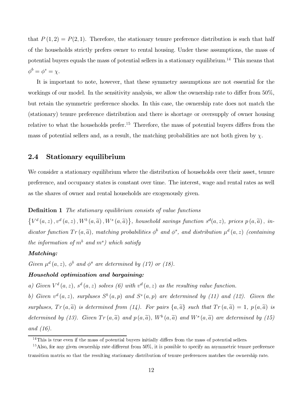that  $P(1,2) = P(2,1)$ . Therefore, the stationary tenure preference distribution is such that half of the households strictly prefers owner to rental housing. Under these assumptions, the mass of potential buyers equals the mass of potential sellers in a stationary equilibrium.<sup>14</sup> This means that  $\phi^b = \phi^s = \chi.$ 

It is important to note, however, that these symmetry assumptions are not essential for the workings of our model. In the sensitivity analysis, we allow the ownership rate to differ from 50%, but retain the symmetric preference shocks. In this case, the ownership rate does not match the (stationary) tenure preference distribution and there is shortage or oversupply of owner housing relative to what the households prefer.<sup>15</sup> Therefore, the mass of potential buyers differs from the mass of potential sellers and, as a result, the matching probabilities are not both given by  $\chi$ .

#### 2.4 Stationary equilibrium

We consider a stationary equilibrium where the distribution of households over their asset, tenure preference, and occupancy states is constant over time. The interest, wage and rental rates as well as the shares of owner and rental households are exogenously given.

#### Definition 1 *The stationary equilibrium consists of value functions*

 $\{V^d(a,z), v^d(a,z), W^b(a,\widetilde{a}), W^s(a,\widetilde{a})\},$  household savings function  $s^d(a,z)$ , prices  $p(a,\widetilde{a})$ , in $dicator$  function  $Tr(a, \tilde{a})$ , matching probabilities  $\phi^b$  and  $\phi^s$ , and distribution  $\mu^d(a, z)$  *(containing*)  $the$  information of  $m<sup>b</sup>$  and  $m<sup>s</sup>$ ) which satisfy

#### Matching:

Given  $\mu^d$   $(a, z)$ *,*  $\phi^b$  and  $\phi^s$  are determined by (17) or (18).

#### Household optimization and bargaining:

a) Given  $V^d(a, z)$ ,  $s^d(a, z)$  solves (6) with  $v^d(a, z)$  as the resulting value function.

b) Given  $v^d(a, z)$ , surpluses  $S^b(a, p)$  and  $S^s(a, p)$  are determined by (11) and (12). Given the *surpluses,*  $Tr(a, \tilde{a})$  *is determined from (14). For pairs*  $\{a, \tilde{a}\}\$  *such that*  $Tr(a, \tilde{a}) = 1$ ,  $p(a, \tilde{a})$  *is* determined by (13). Given  $Tr(a, \tilde{a})$  and  $p(a, \tilde{a})$ ,  $W^b(a, \tilde{a})$  and  $W^s(a, \tilde{a})$  are determined by (15) *and (16).*

 $^{14}$ This is true even if the mass of potential buyers initially differs from the mass of potential sellers.

<sup>&</sup>lt;sup>15</sup> Also, for any given ownership rate different from  $50\%$ , it is possible to specify an asymmetric tenure preference transition matrix so that the resulting stationary distribution of tenure preferences matches the ownership rate.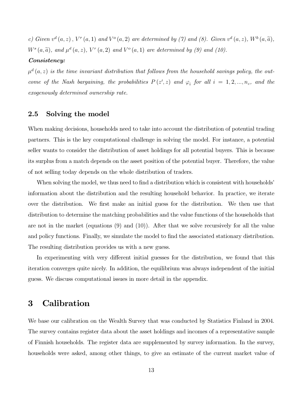*c)* Given  $v^d(a, z)$ ,  $V^r(a, 1)$  and  $V^o(a, 2)$  are determined by (7) and (8). Given  $v^d(a, z)$ ,  $W^b(a, \tilde{a})$ ,  $W^{s}(a, \widetilde{a})$ , and  $\mu^{d}(a, z)$ ,  $V^{r}(a, 2)$  and  $V^{o}(a, 1)$  are determined by (9) and (10).

#### Consistency:

 $\mu^d(a,z)$  is the time invariant distribution that follows from the household savings policy, the out*come of the Nash bargaining, the probabilities*  $P(z', z)$  *and*  $\varphi_i$  *for all*  $i = 1, 2, ..., n_{\varepsilon}$ *, and the exogenously determined ownership rate.*

#### 2.5 Solving the model

When making decisions, households need to take into account the distribution of potential trading partners. This is the key computational challenge in solving the model. For instance, a potential seller wants to consider the distribution of asset holdings for all potential buyers. This is because its surplus from a match depends on the asset position of the potential buyer. Therefore, the value of not selling today depends on the whole distribution of traders.

When solving the model, we thus need to find a distribution which is consistent with households' information about the distribution and the resulting household behavior. In practice, we iterate over the distribution. We first make an initial guess for the distribution. We then use that distribution to determine the matching probabilities and the value functions of the households that are not in the market (equations (9) and (10)). After that we solve recursively for all the value and policy functions. Finally, we simulate the model to find the associated stationary distribution. The resulting distribution provides us with a new guess.

In experimenting with very different initial guesses for the distribution, we found that this iteration converges quite nicely. In addition, the equilibrium was always independent of the initial guess. We discuss computational issues in more detail in the appendix.

## 3 Calibration

We base our calibration on the Wealth Survey that was conducted by Statistics Finland in 2004. The survey contains register data about the asset holdings and incomes of a representative sample of Finnish households. The register data are supplemented by survey information. In the survey, households were asked, among other things, to give an estimate of the current market value of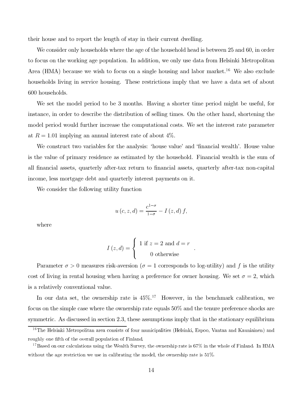their house and to report the length of stay in their current dwelling.

We consider only households where the age of the household head is between 25 and 60, in order to focus on the working age population. In addition, we only use data from Helsinki Metropolitan Area (HMA) because we wish to focus on a single housing and labor market.<sup>16</sup> We also exclude households living in service housing. These restrictions imply that we have a data set of about 600 households.

We set the model period to be 3 months. Having a shorter time period might be useful, for instance, in order to describe the distribution of selling times. On the other hand, shortening the model period would further increase the computational costs. We set the interest rate parameter at  $R = 1.01$  implying an annual interest rate of about  $4\%$ .

We construct two variables for the analysis: 'house value' and 'financial wealth'. House value is the value of primary residence as estimated by the household. Financial wealth is the sum of all financial assets, quarterly after-tax return to financial assets, quarterly after-tax non-capital income, less mortgage debt and quarterly interest payments on it.

We consider the following utility function

$$
u\left(c, z, d\right) = \frac{c^{1-\sigma}}{1-\sigma} - I\left(z, d\right) f,
$$

where

$$
I(z,d) = \begin{cases} 1 & \text{if } z = 2 \text{ and } d = r \\ 0 & \text{otherwise} \end{cases}
$$

.

Parameter  $\sigma > 0$  measures risk-aversion ( $\sigma = 1$  corresponds to log-utility) and f is the utility cost of living in rental housing when having a preference for owner housing. We set  $\sigma = 2$ , which is a relatively conventional value.

In our data set, the ownership rate is  $45\%$ .<sup>17</sup> However, in the benchmark calibration, we focus on the simple case where the ownership rate equals 50% and the tenure preference shocks are symmetric. As discussed in section 2.3, these assumptions imply that in the stationary equilibrium

 $^{16}$ The Helsinki Metropolitan area consists of four municipalities (Helsinki, Espoo, Vantaa and Kauniainen) and roughly one fifth of the overall population of Finland.

<sup>&</sup>lt;sup>17</sup> Based on our calculations using the Wealth Survey, the ownership rate is  $67\%$  in the whole of Finland. In HMA without the age restriction we use in calibrating the model, the ownership rate is  $51\%$ .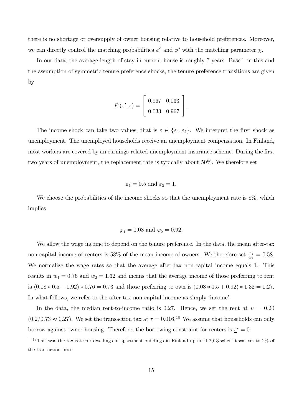there is no shortage or oversupply of owner housing relative to household preferences. Moreover, we can directly control the matching probabilities  $\phi^b$  and  $\phi^s$  with the matching parameter  $\chi$ .

In our data, the average length of stay in current house is roughly 7 years. Based on this and the assumption of symmetric tenure preference shocks, the tenure preference transitions are given by

$$
P(z', z) = \left[ \begin{array}{cc} 0.967 & 0.033 \\ 0.033 & 0.967 \end{array} \right].
$$

The income shock can take two values, that is  $\varepsilon \in {\varepsilon_1, \varepsilon_2}$ . We interpret the first shock as unemployment. The unemployed households receive an unemployment compensation. In Finland, most workers are covered by an earnings-related unemployment insurance scheme. During the first two years of unemployment, the replacement rate is typically about 50%. We therefore set

$$
\varepsilon_1 = 0.5 \text{ and } \varepsilon_2 = 1.
$$

We choose the probabilities of the income shocks so that the unemployment rate is  $8\%$ , which implies

$$
\varphi_1 = 0.08
$$
 and  $\varphi_2 = 0.92$ .

We allow the wage income to depend on the tenure preference. In the data, the mean after-tax non-capital income of renters is 58% of the mean income of owners. We therefore set  $\frac{w_1}{w_2} = 0.58$ . We normalize the wage rates so that the average after-tax non-capital income equals 1. This results in  $w_1 = 0.76$  and  $w_2 = 1.32$  and means that the average income of those preferring to rent is  $(0.08 * 0.5 + 0.92) * 0.76 = 0.73$  and those preferring to own is  $(0.08 * 0.5 + 0.92) * 1.32 = 1.27$ . In what follows, we refer to the after-tax non-capital income as simply 'income'.

In the data, the median rent-to-income ratio is 0.27. Hence, we set the rent at  $v = 0.20$  $(0.2/0.73 \approx 0.27)$ . We set the transaction tax at  $\tau = 0.016$ .<sup>18</sup> We assume that households can only borrow against owner housing. Therefore, the borrowing constraint for renters is  $\underline{s}^r = 0$ .

 $\overline{18}$ This was the tax rate for dwellings in apartment buildings in Finland up until 2013 when it was set to  $2\%$  of - 
 -\$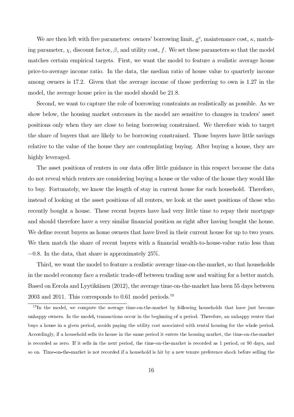We are then left with five parameters: owners' borrowing limit,  $\underline{s}^o$ , maintenance cost,  $\kappa$ , matching parameter,  $\chi$ , discount factor,  $\beta$ , and utility cost, f. We set these parameters so that the model matches certain empirical targets. First, we want the model to feature a realistic average house price-to-average income ratio. In the data, the median ratio of house value to quarterly income among owners is 17.2. Given that the average income of those preferring to own is 1.27 in the model, the average house price in the model should be 21.8.

Second, we want to capture the role of borrowing constraints as realistically as possible. As we show below, the housing market outcomes in the model are sensitive to changes in traders' asset positions only when they are close to being borrowing constrained. We therefore wish to target the share of buyers that are likely to be borrowing constrained. Those buyers have little savings relative to the value of the house they are contemplating buying. After buying a house, they are highly leveraged.

The asset positions of renters in our data offer little guidance in this respect because the data do not reveal which renters are considering buying a house or the value of the house they would like to buy. Fortunately, we know the length of stay in current house for each household. Therefore, instead of looking at the asset positions of all renters, we look at the asset positions of those who recently bought a house. These recent buyers have had very little time to repay their mortgage and should therefore have a very similar financial position as right after having bought the house. We define recent buyers as home owners that have lived in their current house for up to two years. We then match the share of recent buyers with a financial wealth-to-house-value ratio less than  $-0.8$ . In the data, that share is approximately 25%.

Third, we want the model to feature a realistic average time-on-the-market, so that households in the model economy face a realistic trade-off between trading now and waiting for a better match. Based on Eerola and Lyytikäinen (2012), the average time-on-the-market has been 55 days between  $2003$  and  $2011$ . This corresponds to 0.61 model periods.<sup>19</sup>

 $^{19}$ In the model, we compute the average time-on-the-market by following households that have just become unhappy owners. In the model, transactions occur in the beginning of a period. Therefore, an unhappy renter that buys a house in a given period, avoids paying the utility cost associated with rental housing for the whole period. Accordingly, if a household sells its house in the same period it enters the housing market, the time-on-the-market is recorded as zero. If it sells in the next period, the time-on-the-market is recorded as 1 period, or 90 days, and so on. Time-on-the-market is not recorded if a household is hit by a new tenure preference shock before selling the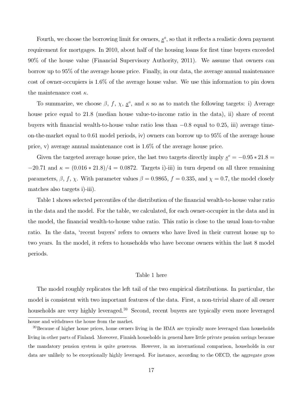<span id="page-17-0"></span>Fourth, we choose the borrowing limit for owners,  $s^{\circ}$ , so that it reflects a realistic down payment requirement for mortgages. In 2010, about half of the housing loans for first time buyers exceeded 90% of the house value (Financial Supervisory Authority, 2011). We assume that owners can borrow up to 95% of the average house price. Finally, in our data, the average annual maintenance cost of owner-occupiers is 1.6% of the average house value. We use this information to pin down the maintenance cost  $\kappa$ .

To summarize, we choose  $\beta$ , f,  $\chi$ ,  $\underline{s}^o$ , and  $\kappa$  so as to match the following targets: i) Average house price equal to 21.8 (median house value-to-income ratio in the data), ii) share of recent buyers with financial wealth-to-house value ratio less than −0.8 equal to 0.25, iii) average timeon-the-market equal to 0.61 model periods, iv) owners can borrow up to 95% of the average house price, v) average annual maintenance cost is 1.6% of the average house price.

Given the targeted average house price, the last two targets directly imply  $\underline{s}^{\circ} = -0.95 * 21.8 =$  $-20.71$  and  $\kappa = (0.016 * 21.8)/4 = 0.0872$ . Targets i)-iii) in turn depend on all three remaining parameters,  $\beta$ ,  $f$ ,  $\chi$ . With parameter values  $\beta = 0.9865$ ,  $f = 0.335$ , and  $\chi = 0.7$ , the model closely matches also targets i)-iii).

Table 1 shows selected percentiles of the distribution of the financial wealth-to-house value ratio in the data and the model. For the table, we calculated, for each owner-occupier in the data and in the model, the financial wealth-to-house value ratio. This ratio is close to the usual loan-to-value ratio. In the data, 'recent buyers' refers to owners who have lived in their current house up to two years. In the model, it refers to households who have become owners within the last 8 model periods.

#### [Table 1 here](#page-35-0)

The model roughly replicates the left tail of the two empirical distributions. In particular, the model is consistent with two important features of the data. First, a non-trivial share of all owner households are very highly leveraged.<sup>20</sup> Second, recent buyers are typically even more leveraged

house and withdraws the house from the market.

 $^{20}$ Because of higher house prices, home owners living in the HMA are typically more leveraged than households living in other parts of Finland. Moreover, Finnish households in general have little private pension savings because the mandatory pension system is quite generous. However, in an international comparison, households in our data are unlikely to be exceptionally highly leveraged. For instance, according to the OECD, the aggregate gross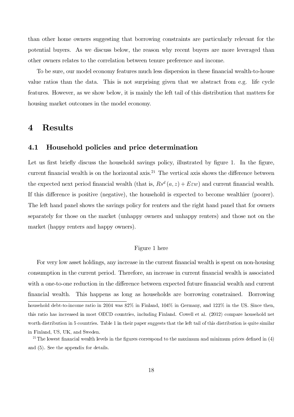<span id="page-18-0"></span>than other home owners suggesting that borrowing constraints are particularly relevant for the potential buyers. As we discuss below, the reason why recent buyers are more leveraged than other owners relates to the correlation between tenure preference and income.

To be sure, our model economy features much less dispersion in these financial wealth-to-house value ratios than the data. This is not surprising given that we abstract from e.g. life cycle features. However, as we show below, it is mainly the left tail of this distribution that matters for housing market outcomes in the model economy.

### 4 Results

#### 4.1 Household policies and price determination

Let us first briefly discuss the household savings policy, illustrated by figure 1. In the figure, current financial wealth is on the horizontal axis.<sup>21</sup> The vertical axis shows the difference between the expected next period financial wealth (that is,  $Rs<sup>d</sup>(a, z) + E\epsilon w$ ) and current financial wealth. If this difference is positive (negative), the household is expected to become wealthier (poorer). The left hand panel shows the savings policy for renters and the right hand panel that for owners separately for those on the market (unhappy owners and unhappy renters) and those not on the market (happy renters and happy owners).

#### [Figure 1 here](#page-36-0)

For very low asset holdings, any increase in the current financial wealth is spent on non-housing consumption in the current period. Therefore, an increase in current financial wealth is associated with a one-to-one reduction in the difference between expected future financial wealth and current financial wealth. This happens as long as households are borrowing constrained. Borrowing household debt-to-income ratio in  $2004$  was  $82\%$  in Finland,  $104\%$  in Germany, and  $123\%$  in the US. Since then, 
 -- 
 \*; - ' #\$ (- - \$ 56786: - 
- worth distribution in 5 countries. Table 1 in their paper suggests that the left tail of this distribution is quite similar<br>

m 1 mana, 55, 511, and 50 sasm I ne lowest financial wealth levels in the figures correspond to the maximum and minimum prices defined in (4)<br>  $\frac{1}{2}$   $\frac{1}{2}$   $\frac{1}{2}$   $\frac{1}{2}$   $\frac{1}{2}$   $\frac{1}{2}$   $\frac{1}{2}$   $\frac{1}{2}$   $\frac{1}{2}$   $\frac{1}{2}$   $\frac{1}{2}$   $\frac{1}{2}$   $\frac{1}{2}$   $\frac{1}{2}$   $\frac{1}{2}$   $\frac{1}{2}$   $\frac{1}{2}$   $\frac{1}{2}$   $\frac{1}{2}$   $\frac{1}{2}$   $\frac{1}{2}$   $\frac{1}{2}$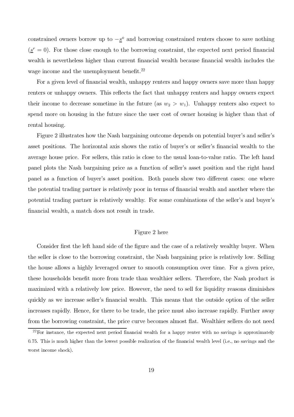<span id="page-19-0"></span>constrained owners borrow up to  $-\underline{s}^{\circ}$  and borrowing constrained renters choose to save nothing  $(\underline{s}^r = 0)$ . For those close enough to the borrowing constraint, the expected next period financial wealth is nevertheless higher than current financial wealth because financial wealth includes the wage income and the unemployment benefit. $22$ 

For a given level of financial wealth, unhappy renters and happy owners save more than happy renters or unhappy owners. This reflects the fact that unhappy renters and happy owners expect their income to decrease sometime in the future (as  $w_2 > w_1$ ). Unhappy renters also expect to spend more on housing in the future since the user cost of owner housing is higher than that of rental housing.

Figure 2 illustrates how the Nash bargaining outcome depends on potential buyer's and seller's asset positions. The horizontal axis shows the ratio of buyer's or seller's financial wealth to the average house price. For sellers, this ratio is close to the usual loan-to-value ratio. The left hand panel plots the Nash bargaining price as a function of seller's asset position and the right hand panel as a function of buyer's asset position. Both panels show two different cases: one where the potential trading partner is relatively poor in terms of financial wealth and another where the potential trading partner is relatively wealthy. For some combinations of the seller's and buyer's financial wealth, a match does not result in trade.

#### [Figure 2 here](#page-37-0)

Consider first the left hand side of the figure and the case of a relatively wealthy buyer. When the seller is close to the borrowing constraint, the Nash bargaining price is relatively low. Selling the house allows a highly leveraged owner to smooth consumption over time. For a given price, these households benefit more from trade than wealthier sellers. Therefore, the Nash product is maximized with a relatively low price. However, the need to sell for liquidity reasons diminishes quickly as we increase seller's financial wealth. This means that the outside option of the seller increases rapidly. Hence, for there to be trade, the price must also increase rapidly. Further away from the borrowing constraint, the price curve becomes almost flat. Wealthier sellers do not need

 $^{22}$ For instance, the expected next period financial wealth for a happy renter with no savings is approximately 0.75. This is much higher than the lowest possible realization of the financial wealth level (i.e., no savings and the  $\frac{1}{\sqrt{2}}$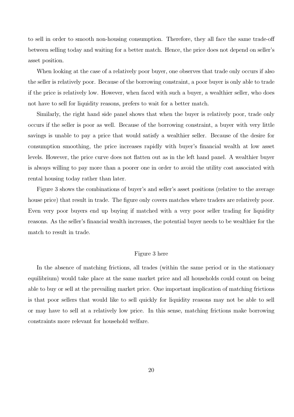<span id="page-20-0"></span>to sell in order to smooth non-housing consumption. Therefore, they all face the same trade-off between selling today and waiting for a better match. Hence, the price does not depend on seller's asset position.

When looking at the case of a relatively poor buyer, one observes that trade only occurs if also the seller is relatively poor. Because of the borrowing constraint, a poor buyer is only able to trade if the price is relatively low. However, when faced with such a buyer, a wealthier seller, who does not have to sell for liquidity reasons, prefers to wait for a better match.

Similarly, the right hand side panel shows that when the buyer is relatively poor, trade only occurs if the seller is poor as well. Because of the borrowing constraint, a buyer with very little savings is unable to pay a price that would satisfy a wealthier seller. Because of the desire for consumption smoothing, the price increases rapidly with buyer's financial wealth at low asset levels. However, the price curve does not flatten out as in the left hand panel. A wealthier buyer is always willing to pay more than a poorer one in order to avoid the utility cost associated with rental housing today rather than later.

Figure 3 shows the combinations of buyer's and seller's asset positions (relative to the average house price) that result in trade. The figure only covers matches where traders are relatively poor. Even very poor buyers end up buying if matched with a very poor seller trading for liquidity reasons. As the seller's financial wealth increases, the potential buyer needs to be wealthier for the match to result in trade.

#### [Figure 3 here](#page-38-0)

In the absence of matching frictions, all trades (within the same period or in the stationary equilibrium) would take place at the same market price and all households could count on being able to buy or sell at the prevailing market price. One important implication of matching frictions is that poor sellers that would like to sell quickly for liquidity reasons may not be able to sell or may have to sell at a relatively low price. In this sense, matching frictions make borrowing constraints more relevant for household welfare.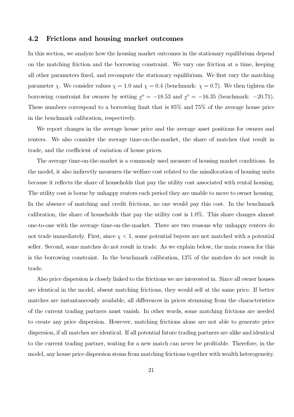#### 4.2 Frictions and housing market outcomes

In this section, we analyze how the housing market outcomes in the stationary equilibrium depend on the matching friction and the borrowing constraint. We vary one friction at a time, keeping all other parameters fixed, and recompute the stationary equilibrium. We first vary the matching parameter  $\chi$ . We consider values  $\chi = 1.0$  and  $\chi = 0.4$  (benchmark:  $\chi = 0.7$ ). We then tighten the borrowing constraint for owners by setting  $s^{\circ} = -18.53$  and  $s^{\circ} = -16.35$  (benchmark: -20.71). These numbers correspond to a borrowing limit that is 85% and 75% of the average house price in the benchmark calibration, respectively.

We report changes in the average house price and the average asset positions for owners and renters. We also consider the average time-on-the-market, the share of matches that result in trade, and the coefficient of variation of house prices.

The average time-on-the-market is a commonly used measure of housing market conditions. In the model, it also indirectly measures the welfare cost related to the misallocation of housing units because it reflects the share of households that pay the utility cost associated with rental housing. The utility cost is borne by unhappy renters each period they are unable to move to owner housing. In the absence of matching and credit frictions, no one would pay this cost. In the benchmark calibration, the share of households that pay the utility cost is 1.0%. This share changes almost one-to-one with the average time-on-the-market. There are two reasons why unhappy renters do not trade immediately. First, since  $\chi < 1$ , some potential buyers are not matched with a potential seller. Second, some matches do not result in trade. As we explain below, the main reason for this is the borrowing constraint. In the benchmark calibration, 13% of the matches do not result in trade.

Also price dispersion is closely linked to the frictions we are interested in. Since all owner houses are identical in the model, absent matching frictions, they would sell at the same price. If better matches are instantaneously available, all differences in prices stemming from the characteristics of the current trading partners must vanish. In other words, some matching frictions are needed to create any price dispersion. However, matching frictions alone are not able to generate price dispersion, if all matches are identical. If all potential future trading partners are alike and identical to the current trading partner, waiting for a new match can never be profitable. Therefore, in the model, any house price dispersion stems from matching frictions together with wealth heterogeneity.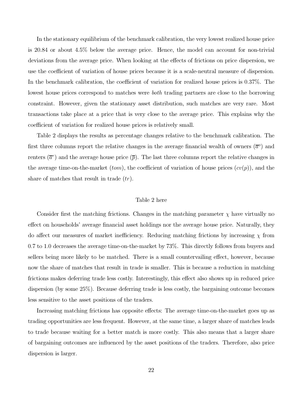<span id="page-22-0"></span>In the stationary equilibrium of the benchmark calibration, the very lowest realized house price is 20.84 or about 4.5% below the average price. Hence, the model can account for non-trivial deviations from the average price. When looking at the effects of frictions on price dispersion, we use the coefficient of variation of house prices because it is a scale-neutral measure of dispersion. In the benchmark calibration, the coefficient of variation for realized house prices is 0.37%. The lowest house prices correspond to matches were *both* trading partners are close to the borrowing constraint. However, given the stationary asset distribution, such matches are very rare. Most transactions take place at a price that is very close to the average price. This explains why the coefficient of variation for realized house prices is relatively small.

Table 2 displays the results as percentage changes relative to the benchmark calibration. The first three columns report the relative changes in the average financial wealth of owners  $(\bar{a}^{\circ})$  and renters  $(\bar{a}^r)$  and the average house price  $(\bar{p})$ . The last three columns report the relative changes in the average time-on-the-market (*tom*), the coefficient of variation of house prices  $(cv(p))$ , and the share of matches that result in trade  $(tr)$ .

#### [Table 2 here](#page-39-0)

Consider first the matching frictions. Changes in the matching parameter  $\chi$  have virtually no effect on households' average financial asset holdings nor the average house price. Naturally, they do affect our measures of market inefficiency. Reducing matching frictions by increasing  $\chi$  from 0.7 to 1.0 decreases the average time-on-the-market by 73%. This directly follows from buyers and sellers being more likely to be matched. There is a small countervailing effect, however, because now the share of matches that result in trade is smaller. This is because a reduction in matching frictions makes deferring trade less costly. Interestingly, this effect also shows up in reduced price dispersion (by some 25%). Because deferring trade is less costly, the bargaining outcome becomes less sensitive to the asset positions of the traders.

Increasing matching frictions has opposite effects: The average time-on-the-market goes up as trading opportunities are less frequent. However, at the same time, a larger share of matches leads to trade because waiting for a better match is more costly. This also means that a larger share of bargaining outcomes are influenced by the asset positions of the traders. Therefore, also price dispersion is larger.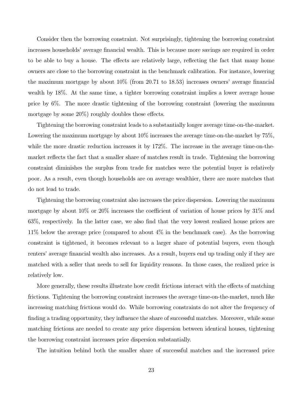Consider then the borrowing constraint. Not surprisingly, tightening the borrowing constraint increases households' average financial wealth. This is because more savings are required in order to be able to buy a house. The effects are relatively large, reflecting the fact that many home owners are close to the borrowing constraint in the benchmark calibration. For instance, lowering the maximum mortgage by about 10% (from 20.71 to 18.53) increases owners' average financial wealth by 18%. At the same time, a tighter borrowing constraint implies a lower average house price by 6%. The more drastic tightening of the borrowing constraint (lowering the maximum mortgage by some 20%) roughly doubles these effects.

Tightening the borrowing constraint leads to a substantially longer average time-on-the-market. Lowering the maximum mortgage by about 10% increases the average time-on-the-market by 75%, while the more drastic reduction increases it by 172\%. The increase in the average time-on-themarket reflects the fact that a smaller share of matches result in trade. Tightening the borrowing constraint diminishes the surplus from trade for matches were the potential buyer is relatively poor. As a result, even though households are on average wealthier, there are more matches that do not lead to trade.

Tightening the borrowing constraint also increases the price dispersion. Lowering the maximum mortgage by about 10% or 20% increases the coefficient of variation of house prices by 31% and 63%, respectively. In the latter case, we also find that the very lowest realized house prices are 11% below the average price (compared to about 4% in the benchmark case). As the borrowing constraint is tightened, it becomes relevant to a larger share of potential buyers, even though renters' average financial wealth also increases. As a result, buyers end up trading only if they are matched with a seller that needs to sell for liquidity reasons. In those cases, the realized price is relatively low.

More generally, these results illustrate how credit frictions interact with the effects of matching frictions. Tightening the borrowing constraint increases the average time-on-the-market, much like increasing matching frictions would do. While borrowing constraints do not alter the frequency of finding a trading opportunity, they influence the share of successful matches. Moreover, while some matching frictions are needed to create any price dispersion between identical houses, tightening the borrowing constraint increases price dispersion substantially.

The intuition behind both the smaller share of successful matches and the increased price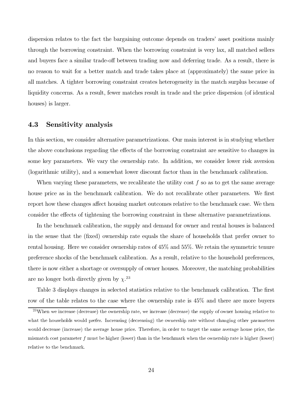dispersion relates to the fact the bargaining outcome depends on traders' asset positions mainly through the borrowing constraint. When the borrowing constraint is very lax, all matched sellers and buyers face a similar trade-off between trading now and deferring trade. As a result, there is no reason to wait for a better match and trade takes place at (approximately) the same price in all matches. A tighter borrowing constraint creates heterogeneity in the match surplus because of liquidity concerns. As a result, fewer matches result in trade and the price dispersion (of identical houses) is larger.

#### 4.3 Sensitivity analysis

In this section, we consider alternative parametrizations. Our main interest is in studying whether the above conclusions regarding the effects of the borrowing constraint are sensitive to changes in some key parameters. We vary the ownership rate. In addition, we consider lower risk aversion (logarithmic utility), and a somewhat lower discount factor than in the benchmark calibration.

When varying these parameters, we recalibrate the utility cost  $f$  so as to get the same average house price as in the benchmark calibration. We do not recalibrate other parameters. We first report how these changes affect housing market outcomes relative to the benchmark case. We then consider the effects of tightening the borrowing constraint in these alternative parametrizations.

In the benchmark calibration, the supply and demand for owner and rental houses is balanced in the sense that the (fixed) ownership rate equals the share of households that prefer owner to rental housing. Here we consider ownership rates of 45% and 55%. We retain the symmetric tenure preference shocks of the benchmark calibration. As a result, relative to the household preferences, there is now either a shortage or oversupply of owner houses. Moreover, the matching probabilities are no longer both directly given by  $\chi^{23}$ 

Table 3 displays changes in selected statistics relative to the benchmark calibration. The first row of the table relates to the case where the ownership rate is 45% and there are more buyers

<sup>23</sup> When we increase (decrease) the ownership rate, we increase (decrease) the supply of owner housing relative to what the households would prefer. Increasing (decreasing) the ownership rate without changing other parameters<br> would decrease (increase) the average house price. Therefore, in order to target the same average house price, the  $m$  is match cost parameter  $f$  must be higher (lower) than in the benchmark when the ownership rate is higher (lower) -- - .-\$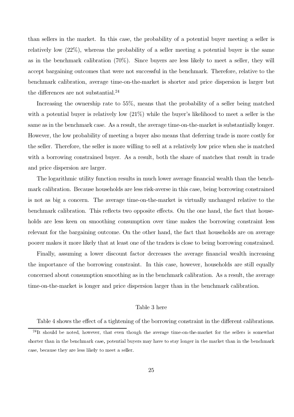<span id="page-25-0"></span>than sellers in the market. In this case, the probability of a potential buyer meeting a seller is relatively low  $(22\%)$ , whereas the probability of a seller meeting a potential buyer is the same as in the benchmark calibration (70%). Since buyers are less likely to meet a seller, they will accept bargaining outcomes that were not successful in the benchmark. Therefore, relative to the benchmark calibration, average time-on-the-market is shorter and price dispersion is larger but the differences are not substantial. $^{24}$ 

Increasing the ownership rate to 55%, means that the probability of a seller being matched with a potential buyer is relatively low  $(21\%)$  while the buyer's likelihood to meet a seller is the same as in the benchmark case. As a result, the average time-on-the-market is substantially longer. However, the low probability of meeting a buyer also means that deferring trade is more costly for the seller. Therefore, the seller is more willing to sell at a relatively low price when she is matched with a borrowing constrained buyer. As a result, both the share of matches that result in trade and price dispersion are larger.

The logarithmic utility function results in much lower average financial wealth than the benchmark calibration. Because households are less risk-averse in this case, being borrowing constrained is not as big a concern. The average time-on-the-market is virtually unchanged relative to the benchmark calibration. This reflects two opposite effects. On the one hand, the fact that households are less keen on smoothing consumption over time makes the borrowing constraint less relevant for the bargaining outcome. On the other hand, the fact that households are on average poorer makes it more likely that at least one of the traders is close to being borrowing constrained.

Finally, assuming a lower discount factor decreases the average financial wealth increasing the importance of the borrowing constraint. In this case, however, households are still equally concerned about consumption smoothing as in the benchmark calibration. As a result, the average time-on-the-market is longer and price dispersion larger than in the benchmark calibration.

#### [Table 3 here](#page-40-0)

Table 4 shows the effect of a tightening of the borrowing constraint in the different calibrations.

<sup>24</sup> it should be noted, nowever, that even though the average time-on-the-market for the sellers is somewhat - - .- 
- - .)- ) - 
) '- - - - .-  $\frac{1}{2}$  socials they are ress may to move a sense.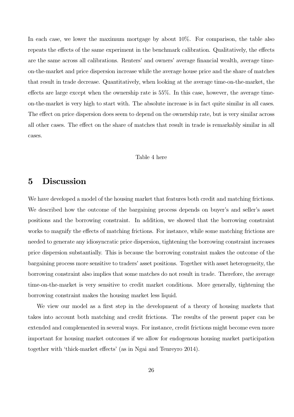<span id="page-26-0"></span>In each case, we lower the maximum mortgage by about 10%. For comparison, the table also repeats the effects of the same experiment in the benchmark calibration. Qualitatively, the effects are the same across all calibrations. Renters' and owners' average financial wealth, average timeon-the-market and price dispersion increase while the average house price and the share of matches that result in trade decrease. Quantitatively, when looking at the average time-on-the-market, the effects are large except when the ownership rate is 55%. In this case, however, the average timeon-the-market is very high to start with. The absolute increase is in fact quite similar in all cases. The effect on price dispersion does seem to depend on the ownership rate, but is very similar across all other cases. The effect on the share of matches that result in trade is remarkably similar in all cases.

#### [Table 4 here](#page-41-0)

## 5 Discussion

We have developed a model of the housing market that features both credit and matching frictions. We described how the outcome of the bargaining process depends on buyer's and seller's asset positions and the borrowing constraint. In addition, we showed that the borrowing constraint works to magnify the effects of matching frictions. For instance, while some matching frictions are needed to generate any idiosyncratic price dispersion, tightening the borrowing constraint increases price dispersion substantially. This is because the borrowing constraint makes the outcome of the bargaining process more sensitive to traders' asset positions. Together with asset heterogeneity, the borrowing constraint also implies that some matches do not result in trade. Therefore, the average time-on-the-market is very sensitive to credit market conditions. More generally, tightening the borrowing constraint makes the housing market less liquid.

We view our model as a first step in the development of a theory of housing markets that takes into account both matching and credit frictions. The results of the present paper can be extended and complemented in several ways. For instance, credit frictions might become even more important for housing market outcomes if we allow for endogenous housing market participation together with 'thick-market effects' (as in Ngai and Tenreyro 2014).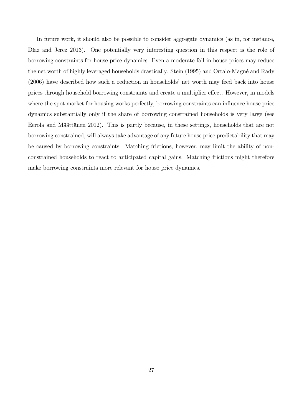In future work, it should also be possible to consider aggregate dynamics (as in, for instance, Díaz and Jerez 2013). One potentially very interesting question in this respect is the role of borrowing constraints for house price dynamics. Even a moderate fall in house prices may reduce the net worth of highly leveraged households drastically. Stein (1995) and Ortalo-Magné and Rady (2006) have described how such a reduction in households' net worth may feed back into house prices through household borrowing constraints and create a multiplier effect. However, in models where the spot market for housing works perfectly, borrowing constraints can influence house price dynamics substantially only if the share of borrowing constrained households is very large (see Eerola and Määttänen 2012). This is partly because, in these settings, households that are not borrowing constrained, will always take advantage of any future house price predictability that may be caused by borrowing constraints. Matching frictions, however, may limit the ability of nonconstrained households to react to anticipated capital gains. Matching frictions might therefore make borrowing constraints more relevant for house price dynamics.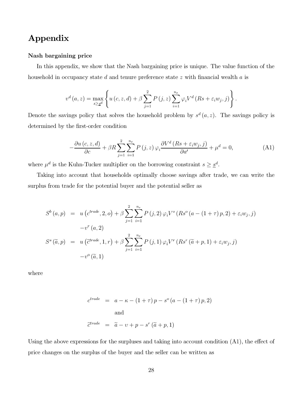# Appendix

#### Nash bargaining price

In this appendix, we show that the Nash bargaining price is unique. The value function of the household in occupancy state d and tenure preference state  $z$  with financial wealth  $a$  is

$$
v^{d}(a, z) = \max_{s \geq \underline{s}^{d}} \left\{ u(c, z, d) + \beta \sum_{j=1}^{2} P(j, z) \sum_{i=1}^{n_{\varepsilon}} \varphi_{i} V^{d}(Rs + \varepsilon_{i} w_{j}, j) \right\}.
$$

Denote the savings policy that solves the household problem by  $s^d(a, z)$ . The savings policy is determined by the first-order condition

$$
-\frac{\partial u\left(c, z, d\right)}{\partial c} + \beta R \sum_{j=1}^{2} \sum_{i=1}^{n_{\varepsilon}} P\left(j, z\right) \varphi_{i} \frac{\partial V^{d}\left(Rs + \varepsilon_{i} w_{j}, j\right)}{\partial a'} + \mu^{d} = 0, \tag{A1}
$$

where  $\mu^d$  is the Kuhn-Tucker multiplier on the borrowing constraint  $s \geq \underline{s}^d$ .

Taking into account that households optimally choose savings after trade, we can write the surplus from trade for the potential buyer and the potential seller as

$$
S^{b}(a, p) = u\left(c^{trade}, 2, o\right) + \beta \sum_{j=1}^{2} \sum_{i=1}^{n_{\varepsilon}} P(j, 2) \varphi_{i} V^{o}\left(Rs^{o}\left(a - (1 + \tau) p, 2\right) + \varepsilon_{i} w_{j}, j\right)
$$

$$
-v^{r}(a, 2)
$$

$$
S^{s}(\tilde{a}, p) = u\left(\tilde{c}^{trade}, 1, r\right) + \beta \sum_{j=1}^{2} \sum_{i=1}^{n_{\varepsilon}} P(j, 1) \varphi_{i} V^{r}\left(Rs^{r}\left(\tilde{a} + p, 1\right) + \varepsilon_{i} w_{j}, j\right)
$$

$$
-v^{o}(\tilde{a}, 1)
$$

where

$$
c^{trade} = a - \kappa - (1 + \tau) p - s^{o} (a - (1 + \tau) p, 2)
$$
  
and  

$$
\tilde{c}^{trade} = \tilde{a} - v + p - s^{r} (\tilde{a} + p, 1)
$$

Using the above expressions for the surpluses and taking into account condition (A1), the effect of price changes on the surplus of the buyer and the seller can be written as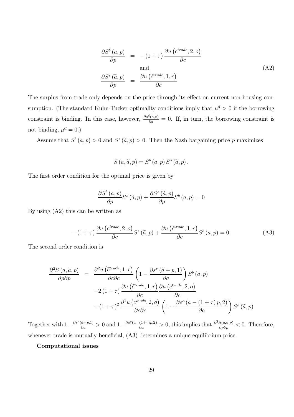$$
\frac{\partial S^{b}(a,p)}{\partial p} = -(1+\tau) \frac{\partial u (c^{trade}, 2, o)}{\partial c}
$$
\nand\n
$$
\frac{\partial S^{s}(\tilde{a}, p)}{\partial p} = \frac{\partial u (c^{trade}, 1, r)}{\partial c}
$$
\n(A2)

The surplus from trade only depends on the price through its effect on current non-housing consumption. (The standard Kuhn-Tucker optimality conditions imply that  $\mu^d > 0$  if the borrowing constraint is binding. In this case, however,  $\frac{\partial s^d(a,z)}{\partial a} = 0$ . If, in turn, the borrowing constraint is not binding,  $\mu^d = 0$ .)

Assume that  $S^b(a, p) > 0$  and  $S^s(\tilde{a}, p) > 0$ . Then the Nash bargaining price p maximizes

$$
S(a,\widetilde{a},p) = S^{b}(a,p) S^{s}(\widetilde{a},p).
$$

The first order condition for the optimal price is given by

$$
\frac{\partial S^{b}(a,p)}{\partial p}S^{s}(\widetilde{a},p) + \frac{\partial S^{s}(\widetilde{a},p)}{\partial p}S^{b}(a,p) = 0
$$

By using (A2) this can be written as

$$
-(1+\tau)\frac{\partial u\left(c^{trade},2,o\right)}{\partial c}S^{s}\left(\tilde{a},p\right)+\frac{\partial u\left(\tilde{c}^{trade},1,r\right)}{\partial c}S^{b}\left(a,p\right)=0.
$$
 (A3)

The second order condition is

$$
\frac{\partial^2 S(a, \tilde{a}, p)}{\partial p \partial p} = \frac{\partial^2 u \left( \tilde{c}^{trade}, 1, r \right)}{\partial c \partial c} \left( 1 - \frac{\partial s^r \left( \tilde{a} + p, 1 \right)}{\partial a} \right) S^b(a, p)
$$

$$
-2 \left( 1 + \tau \right) \frac{\partial u \left( \tilde{c}^{trade}, 1, r \right)}{\partial c} \frac{\partial u \left( c^{trade}, 2, o \right)}{\partial c}
$$

$$
+ \left( 1 + \tau \right)^2 \frac{\partial^2 u \left( c^{trade}, 2, o \right)}{\partial c \partial c} \left( 1 - \frac{\partial s^o \left( a - (1 + \tau) p, 2 \right)}{\partial a} \right) S^s \left( \tilde{a}, p \right)
$$

Together with  $1-\frac{\partial s^r(\tilde{a}+p,1)}{\partial a}>0$  and  $1-\frac{\partial s^o(a-(1+\tau)p,2)}{\partial a}>0$ , this implies that  $\frac{\partial^2 S(a,\tilde{a},p)}{\partial p\partial p}<0$ . Therefore, whenever trade is mutually beneficial,  $(A3)$  determines a unique equilibrium price.

Computational issues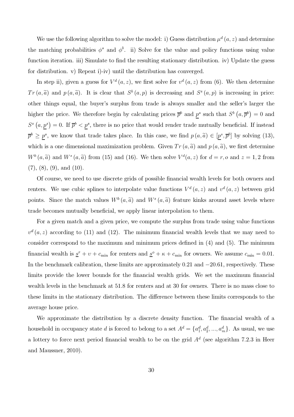We use the following algorithm to solve the model: i) Guess distribution  $\mu^{d}(a, z)$  and determine the matching probabilities  $\phi^s$  and  $\phi^b$ . ii) Solve for the value and policy functions using value function iteration. iii) Simulate to find the resulting stationary distribution. iv) Update the guess for distribution. v) Repeat i)-iv) until the distribution has converged.

In step ii), given a guess for  $V^d(a, z)$ , we first solve for  $v^d(a, z)$  from (6). We then determine  $Tr(a,\tilde{a})$  and  $p(a,\tilde{a})$ . It is clear that  $S^b(a,p)$  is decreasing and  $S^s(a,p)$  is increasing in price: other things equal, the buyer's surplus from trade is always smaller and the seller's larger the higher the price. We therefore begin by calculating prices  $\bar{p}^b$  and  $p^s$  such that  $S^b(a, \bar{p}^b) = 0$  and  $S^{s}(a, p^{s}) = 0$ . If  $\overline{p}^{b} < p^{s}$ , there is no price that would render trade mutually beneficial. If instead  $\overline{p}^b \geq \underline{p}^s$ , we know that trade takes place. In this case, we find  $p(a,\tilde{a}) \in [\underline{p}^s, \overline{p}^b]$  by solving (13), which is a one dimensional maximization problem. Given  $Tr(a, \tilde{a})$  and  $p(a, \tilde{a})$ , we first determine  $W^b(a, \tilde{a})$  and  $W^s(a, \tilde{a})$  from (15) and (16). We then solve  $V^d(a, z)$  for  $d = r, o$  and  $z = 1, 2$  from  $(7), (8), (9), \text{ and } (10).$ 

Of course, we need to use discrete grids of possible financial wealth levels for both owners and renters. We use cubic splines to interpolate value functions  $V^d(a, z)$  and  $v^d(a, z)$  between grid points. Since the match values  $W^b(a, \tilde{a})$  and  $W^s(a, \tilde{a})$  feature kinks around asset levels where trade becomes mutually beneficial, we apply linear interpolation to them.

For a given match and a given price, we compute the surplus from trade using value functions  $v<sup>d</sup>(a, z)$  according to (11) and (12). The minimum financial wealth levels that we may need to consider correspond to the maximum and minimum prices defined in (4) and (5). The minimum financial wealth is  $\underline{s}^r + v + c_{\min}$  for renters and  $\underline{s}^o + \kappa + c_{\min}$  for owners. We assume  $c_{\min} = 0.01$ . In the benchmark calibration, these limits are approximately 0.21 and −20.61, respectively. These limits provide the lower bounds for the financial wealth grids. We set the maximum financial wealth levels in the benchmark at 51.8 for renters and at 30 for owners. There is no mass close to these limits in the stationary distribution. The difference between these limits corresponds to the average house price.

We approximate the distribution by a discrete density function. The financial wealth of a household in occupancy state d is forced to belong to a set  $A^d = \{a_1^d, a_2^d, ..., a_m^d\}$ . As usual, we use a lottery to force next period financial wealth to be on the grid  $A<sup>d</sup>$  (see algorithm 7.2.3 in Heer and Maussner, 2010).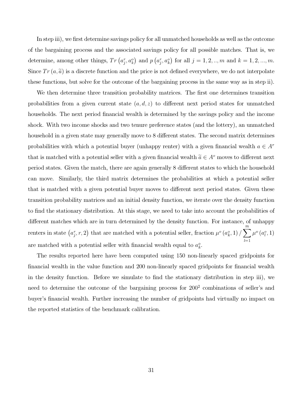In step iii), we first determine savings policy for all unmatched households as well as the outcome of the bargaining process and the associated savings policy for all possible matches. That is, we determine, among other things,  $Tr(a_i^r, a_k^o)$  and  $p(a_i^r, a_k^o)$  for all  $j = 1, 2, ..., m$  and  $k = 1, 2, ..., m$ . Since  $Tr(a,\tilde{a})$  is a discrete function and the price is not defined everywhere, we do not interpolate these functions, but solve for the outcome of the bargaining process in the same way as in step ii).

We then determine three transition probability matrices. The first one determines transition probabilities from a given current state  $(a, d, z)$  to different next period states for unmatched households. The next period financial wealth is determined by the savings policy and the income shock. With two income shocks and two tenure preference states (and the lottery), an unmatched household in a given state may generally move to 8 different states. The second matrix determines probabilities with which a potential buyer (unhappy renter) with a given financial wealth  $a \in A^r$ that is matched with a potential seller with a given financial wealth  $\tilde{a} \in A^{\circ}$  moves to different next period states. Given the match, there are again generally 8 different states to which the household can move. Similarly, the third matrix determines the probabilities at which a potential seller that is matched with a given potential buyer moves to different next period states. Given these transition probability matrices and an initial density function, we iterate over the density function to find the stationary distribution. At this stage, we need to take into account the probabilities of different matches which are in turn determined by the density function. For instance, of unhappy renters in state  $(a_i^r, r, 2)$  that are matched with a potential seller, fraction  $\mu^o(a_k^o, 1)$  /  $\sum$  $l=1$  $\mu^o(a_l^o, 1)$ are matched with a potential seller with financial wealth equal to  $a_k^o$ .

The results reported here have been computed using 150 non-linearly spaced gridpoints for financial wealth in the value function and 200 non-linearly spaced gridpoints for financial wealth in the density function. Before we simulate to find the stationary distribution in step iii), we need to determine the outcome of the bargaining process for  $200^2$  combinations of seller's and buyer's financial wealth. Further increasing the number of gridpoints had virtually no impact on the reported statistics of the benchmark calibration.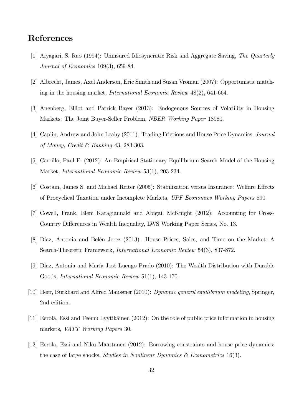# References

- [1] Aiyagari, S. Rao (1994): Uninsured Idiosyncratic Risk and Aggregate Saving, *The Quarterly Journal of Economics* 109(3), 659-84.
- [2] Albrecht, James, Axel Anderson, Eric Smith and Susan Vroman (2007): Opportunistic matching in the housing market, *International Economic Review* 48(2), 641-664.
- [3] Anenberg, Elliot and Patrick Bayer (2013): Endogenous Sources of Volatility in Housing Markets: The Joint Buyer-Seller Problem, *NBER Working Paper* 18980.
- [4] Caplin, Andrew and John Leahy (2011): Trading Frictions and House Price Dynamics, *Journal of Money, Credit & Banking* 43, 283-303.
- [5] Carrillo, Paul E. (2012): An Empirical Stationary Equilibrium Search Model of the Housing Market, *International Economic Review* 53(1), 203-234.
- [6] Costain, James S. and Michael Reiter (2005): Stabilization versus Insurance: Welfare Effects of Procyclical Taxation under Incomplete Markets, *UPF Economics Working Papers* 890.
- [7] Cowell, Frank, Eleni Karagiannaki and Abigail McKnight (2012): Accounting for Cross-Country Differences in Wealth Inequality, LWS Working Paper Series, No. 13.
- [8] Díaz, Antonia and Belén Jerez (2013): House Prices, Sales, and Time on the Market: A Search-Theoretic Framework, *International Economic Review* 54(3), 837-872.
- [9] Díaz, Antonia and María José Luengo-Prado (2010): The Wealth Distribution with Durable Goods, *International Economic Review* 51(1), 143-170.
- [10] Heer, Burkhard and Alfred Maussner (2010): *Dynamic general equilibrium modeling*, Springer, 2nd edition.
- [11] Eerola, Essi and Teemu Lyytikäinen (2012): On the role of public price information in housing markets, *VATT Working Papers* 30.
- [12] Eerola, Essi and Niku Määttänen (2012): Borrowing constraints and house price dynamics: the case of large shocks, *Studies in Nonlinear Dynamics & Econometrics* 16(3).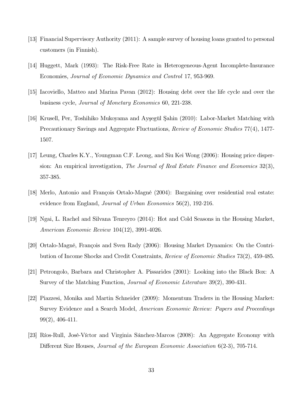- [13] Financial Supervisory Authority (2011): A sample survey of housing loans granted to personal customers (in Finnish).
- [14] Huggett, Mark (1993): The Risk-Free Rate in Heterogeneous-Agent Incomplete-Insurance Economies, *Journal of Economic Dynamics and Control* 17, 953-969.
- [15] Iacoviello, Matteo and Marina Pavan (2012): Housing debt over the life cycle and over the business cycle, *Journal of Monetary Economics* 60, 221-238.
- [16] Krusell, Per, Toshihiko Mukoyama and Ayşegül Şahin (2010): Labor-Market Matching with Precautionary Savings and Aggregate Fluctuations, *Review of Economic Studies* 77(4), 1477- 1507.
- [17] Leung, Charles K.Y., Youngman C.F. Leong, and Siu Kei Wong (2006): Housing price dispersion: An empirical investigation, *The Journal of Real Estate Finance and Economics* 32(3), 357-385.
- [18] Merlo, Antonio and François Ortalo-Magné (2004): Bargaining over residential real estate: evidence from England, *Journal of Urban Economics* 56(2), 192-216.
- [19] Ngai, L. Rachel and Silvana Tenreyro (2014): Hot and Cold Seasons in the Housing Market, *American Economic Review* 104(12), 3991-4026.
- [20] Ortalo-Magné, François and Sven Rady (2006): Housing Market Dynamics: On the Contribution of Income Shocks and Credit Constraints, *Review of Economic Studies* 73(2), 459-485.
- [21] Petrongolo, Barbara and Christopher A. Pissarides (2001): Looking into the Black Box: A Survey of the Matching Function, *Journal of Economic Literature* 39(2), 390-431.
- [22] Piazzesi, Monika and Martin Schneider (2009): Momentum Traders in the Housing Market: Survey Evidence and a Search Model, *American Economic Review: Papers and Proceedings* 99(2), 406-411.
- [23] Ríos-Rull, José-Víctor and Virginia Sánchez-Marcos (2008): An Aggregate Economy with Different Size Houses, *Journal of the European Economic Association* 6(2-3), 705-714.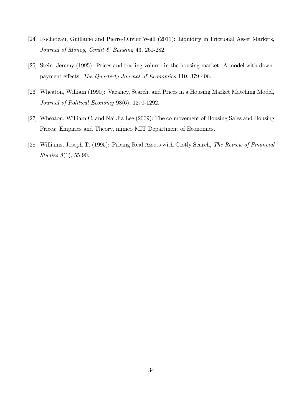- [24] Rocheteau, Guillame and Pierre-Olivier Weill (2011): Liquidity in Frictional Asset Markets, *Journal of Money, Credit & Banking* 43, 261-282.
- [25] Stein, Jeremy (1995): Prices and trading volume in the housing market: A model with downpayment effects, *The Quarterly Journal of Economics* 110, 379-406.
- [26] Wheaton, William (1990): Vacancy, Search, and Prices in a Housing Market Matching Model, *Journal of Political Economy* 98(6), 1270-1292.
- [27] Wheaton, William C. and Nai Jia Lee (2009): The co-movement of Housing Sales and Housing Prices: Empirics and Theory, mimeo MIT Department of Economics.
- [28] Williams, Joseph T. (1995): Pricing Real Assets with Costly Search, *The Review of Financial Studies* 8(1), 55-90.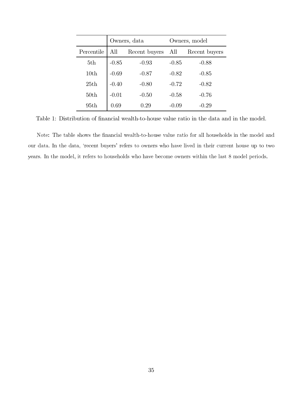<span id="page-35-0"></span>

|            | Owners, data |               | Owners, model |               |  |  |
|------------|--------------|---------------|---------------|---------------|--|--|
| Percentile | All          | Recent buyers | All           | Recent buyers |  |  |
| 5th        | $-0.85$      | $-0.93$       | $-0.85$       | $-0.88$       |  |  |
| 10th       | $-0.69$      | $-0.87$       | $-0.82$       | $-0.85$       |  |  |
| 25th       | $-0.40$      | $-0.80$       | $-0.72$       | $-0.82$       |  |  |
| 50th       | $-0.01$      | $-0.50$       | $-0.58$       | $-0.76$       |  |  |
| 95th       | 0.69         | 0.29          | $-0.09$       | $-0.29$       |  |  |

[Table 1:](#page-17-0) Distribution of financial wealth-to-house value ratio in the data and in the model.

Note: The table shows the financial wealth-to-house value ratio for all households in the model and our data. In the data, 'recent buyers' refers to owners who have lived in their current house up to two  $\alpha$  vears. In the model, it refers to households who have become owners within the last 8 model periods.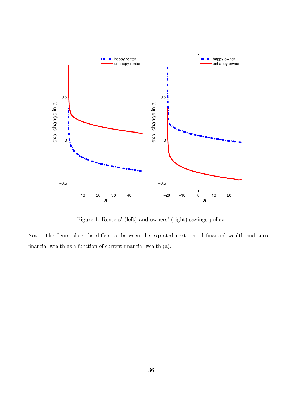<span id="page-36-0"></span>

[Figure 1:](#page-18-0) Renters' (left) and owners' (right) savings policy.

,-- .- - - -- - --- - -1-- -1 -   -  
-  $\mathbb{R}$  . The contract of the contract measurement  $\mathbb{R}$ .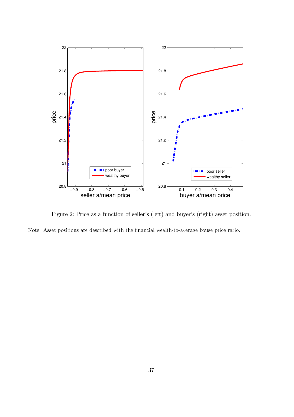<span id="page-37-0"></span>

[Figure 2:](#page-19-0) Price as a function of seller's (left) and buyer's (right) asset position.

Note: Asset positions are described with the financial wealth-to-average house price ratio.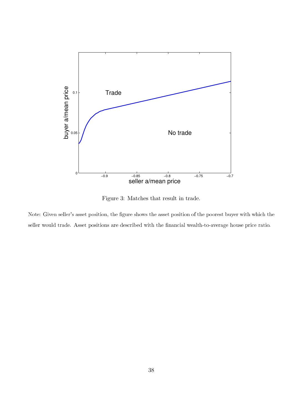<span id="page-38-0"></span>

[Figure 3:](#page-20-0) Matches that result in trade.

Note: Given seller's asset position, the figure shows the asset position of the poorest buyer with which the seller would trade. Asset positions are described with the financial wealth-to-average house price ratio.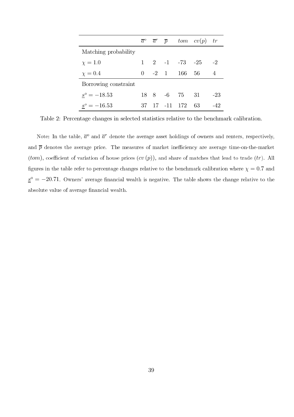<span id="page-39-0"></span>

|                      |    |  |                                          | $\overline{a}^{\scriptscriptstyle 0}$ $\overline{a}^{\scriptscriptstyle r}$ $\overline{p}$ tom $cv(p)$ tr |       |
|----------------------|----|--|------------------------------------------|-----------------------------------------------------------------------------------------------------------|-------|
| Matching probability |    |  |                                          |                                                                                                           |       |
| $\chi = 1.0$         |    |  | $1 \quad 2 \quad -1 \quad -73 \quad -25$ |                                                                                                           | $-2$  |
| $\chi = 0.4$         | 0  |  | $-2$ 1 166 56                            |                                                                                                           | 4     |
| Borrowing constraint |    |  |                                          |                                                                                                           |       |
| $s^{\circ} = -18.53$ |    |  | 18 8 -6 75 31                            |                                                                                                           | $-23$ |
| $s^{\circ} = -16.53$ | 37 |  | 17 -11 172                               | 63                                                                                                        | -42   |

[Table 2:](#page-22-0) Percentage changes in selected statistics relative to the benchmark calibration.

Note: In the table,  $\overline{a}^o$  and  $\overline{a}^r$  denote the average asset holdings of owners and renters, respectively, and  $\overline{p}$  denotes the average price. The measures of market inefficiency are average time-on-the-market  $(tom)$ , coefficient of variation of house prices  $(cv(p))$ , and share of matches that lead to trade  $(tr)$ . All figures in the table refer to percentage changes relative to the benchmark calibration where  $\chi=0.7$  and  $\underline{s}^o = -20.71$ . Owners' average financial wealth is negative. The table shows the change relative to the asserted rate of and ago infancial modern.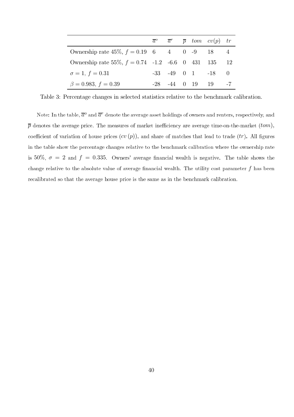<span id="page-40-0"></span>

|                                                                                   |  |                     | $\overline{a}^{\circ}$ $\overline{a}^{\circ}$ $\overline{p}$ tom $cv(p)$ tr |     |
|-----------------------------------------------------------------------------------|--|---------------------|-----------------------------------------------------------------------------|-----|
| Ownership rate $45\%, f = 0.19 \quad 6 \quad 4 \quad 0 \quad -9 \quad 18 \quad 4$ |  |                     |                                                                             |     |
| Ownership rate 55\%, $f = 0.74$ -1.2 -6.6 0 431 135                               |  |                     |                                                                             | -12 |
| $\sigma = 1, f = 0.31$                                                            |  |                     | $-33$ $-49$ 0 1 $-18$ 0                                                     |     |
| $\beta = 0.983, f = 0.39$                                                         |  | $-28$ $-44$ 0 19 19 |                                                                             |     |

[Table 3:](#page-25-0) Percentage changes in selected statistics relative to the benchmark calibration.

Note: In the table,  $\overline{a}^o$  and  $\overline{a}^r$  denote the average asset holdings of owners and renters, respectively, and  $\overline{p}$  denotes the average price. The measures of market inefficiency are average time-on-the-market  $(tom),$ coefficient of variation of house prices  $(cv(p))$ , and share of matches that lead to trade  $(tr)$ . All figures in the table show the percentage changes relative to the benchmark calibration where the ownership rate is 50%,  $\sigma\,=\,2$  and  $f\,=\,0.335$ . Owners' average financial wealth is negative. The table shows the change relative to the absolute value of average financial wealth. The utility cost parameter  $f$  has been recalibrated so that the average house price is the same as in the benchmark calibration.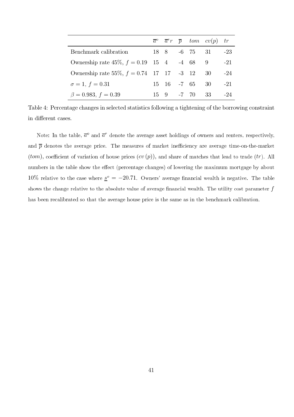<span id="page-41-0"></span>

|                                               |             |               | $\overline{a}^{\scriptscriptstyle 0}$ $\overline{a}^{\scriptscriptstyle r}$ $\overline{p}$ tom $cv(p)$ tr |       |
|-----------------------------------------------|-------------|---------------|-----------------------------------------------------------------------------------------------------------|-------|
| Benchmark calibration                         |             | 18 8 -6 75 31 |                                                                                                           | $-23$ |
| Ownership rate $45\%, f = 0.19$ 15 4 -4 68 9  |             |               |                                                                                                           | $-21$ |
| Ownership rate 55%, $f = 0.74$ 17 17 -3 12 30 |             |               |                                                                                                           | -24   |
| $\sigma = 1, f = 0.31$                        | 15 16 -7 65 |               | 30                                                                                                        | $-21$ |
| $\beta = 0.983, f = 0.39$                     |             | 15 9 -7 70    | -33                                                                                                       | $-24$ |

[Table 4:](#page-26-0) Percentage changes in selected statistics following a tightening of the borrowing constraint in different cases.

Note: In the table,  $\overline{a}^o$  and  $\overline{a}^r$  denote the average asset holdings of owners and renters, respectively, and  $\overline{p}$  denotes the average price. The measures of market inefficiency are average time-on-the-market  $(tom)$ , coefficient of variation of house prices  $(cv(p))$ , and share of matches that lead to trade  $(tr)$ . All numbers in the table show the effect (percentage changes) of lowering the maximum mortgage by about 10% relative to the case where  $\underline{s}^o = -20.71$ . Owners' average financial wealth is negative. The table shows the change relative to the absolute value of average financial wealth. The utility cost parameter  $f$ has seen recanciated so that the atology heave price is the same as in the schemman cancibration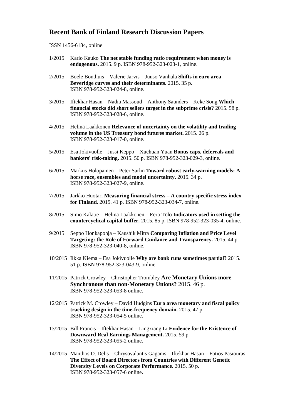#### **Recent Bank of Finland Research Discussion Papers**

#### ISSN 1456-6184, online

- 1/2015 Karlo Kauko **The net stable funding ratio requirement when money is endogenous.** 2015. 9 p. ISBN 978-952-323-023-1, online.
- 2/2015 Boele Bonthuis Valerie Jarvis Juuso Vanhala **Shifts in euro area Beveridge curves and their determinants.** 2015. 35 p. ISBN 978-952-323-024-8, online.
- 3/2015 Iftekhar Hasan Nadia Massoud Anthony Saunders Keke Song **Which financial stocks did short sellers target in the subprime crisis?** 2015. 58 p. ISBN 978-952-323-028-6, online.
- 4/2015 Helinä Laakkonen **Relevance of uncertainty on the volatility and trading volume in the US Treasury bond futures market.** 2015. 26 p. ISBN 978-952-323-017-0, online.
- 5/2015 Esa Jokivuolle Jussi Keppo Xuchuan Yuan **Bonus caps, deferrals and bankers' risk-taking.** 2015. 50 p. ISBN 978-952-323-029-3, online.
- 6/2015 Markus Holopainen Peter Sarlin **Toward robust early-warning models: A horse race, ensembles and model uncertainty.** 2015. 34 p. ISBN 978-952-323-027-9, online.
- 7/2015 Jarkko Huotari **Measuring financial stress – A country specific stress index for Finland.** 2015. 41 p. ISBN 978-952-323-034-7, online.
- 8/2015 Simo Kalatie Helinä Laakkonen Eero Tölö **Indicators used in setting the countercyclical capital buffer.** 2015. 85 p. ISBN 978-952-323-035-4, online.
- 9/2015 Seppo Honkapohja Kaushik Mitra **Comparing Inflation and Price Level Targeting: the Role of Forward Guidance and Transparency.** 2015. 44 p. ISBN 978-952-323-040-8, online.
- 10/2015 Ilkka Kiema Esa Jokivuolle **Why are bank runs sometimes partial?** 2015. 51 p. ISBN 978-952-323-043-9, online.
- 11/2015 Patrick Crowley Christopher Trombley **Are Monetary Unions more Synchronous than non-Monetary Unions?** 2015. 46 p. ISBN 978-952-323-053-8 online.
- 12/2015 Patrick M. Crowley David Hudgins **Euro area monetary and fiscal policy tracking design in the time-frequency domain.** 2015. 47 p. ISBN 978-952-323-054-5 online.
- 13/2015 Bill Francis Iftekhar Hasan Lingxiang Li **Evidence for the Existence of Downward Real Earnings Management.** 2015. 59 p. ISBN 978-952-323-055-2 online.
- 14/2015 Manthos D. Delis Chrysovalantis Gaganis Iftekhar Hasan Fotios Pasiouras **The Effect of Board Directors from Countries with Different Genetic Diversity Levels on Corporate Performance.** 2015. 50 p. ISBN 978-952-323-057-6 online.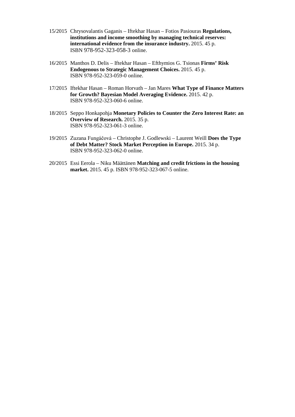- 15/2015 Chrysovalantis Gaganis Iftekhar Hasan Fotios Pasiouras **Regulations, institutions and income smoothing by managing technical reserves: international evidence from the insurance industry.** 2015. 45 p. ISBN 978-952-323-058-3 online.
- 16/2015 Manthos D. Delis Iftekhar Hasan Efthymios G. Tsionas **Firms' Risk Endogenous to Strategic Management Choices.** 2015. 45 p. ISBN 978-952-323-059-0 online.
- 17/2015 Iftekhar Hasan Roman Horvath Jan Mares **What Type of Finance Matters for Growth? Bayesian Model Averaging Evidence.** 2015. 42 p. ISBN 978-952-323-060-6 online.
- 18/2015 Seppo Honkapohja **Monetary Policies to Counter the Zero Interest Rate: an Overview of Research.** 2015. 35 p. ISBN 978-952-323-061-3 online.
- 19/2015 Zuzana Fungáčová Christophe J. Godlewski Laurent Weill **Does the Type of Debt Matter? Stock Market Perception in Europe.** 2015. 34 p. ISBN 978-952-323-062-0 online.
- 20/2015 Essi Eerola Niku Määttänen **Matching and credit frictions in the housing market.** 2015. 45 p. ISBN 978-952-323-067-5 online.